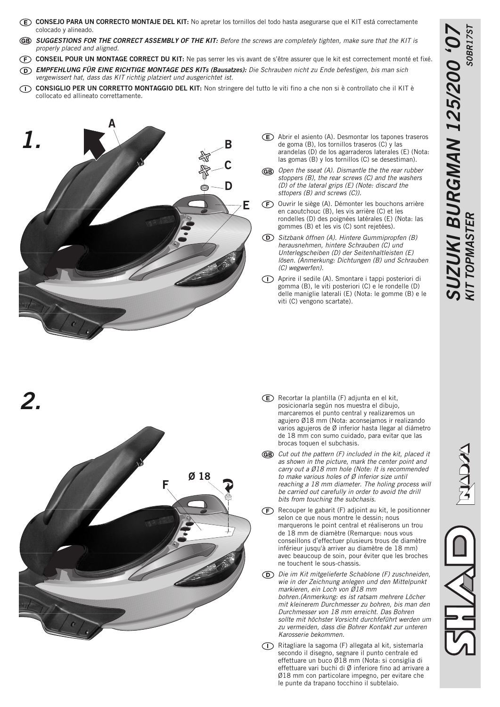- **CONSEJO PARA UN CORRECTO MONTAJE DEL KIT:** No apretar los tornillos del todo hasta asegurarse que el KIT está correctamente colocado y alineado.
- **SUGGESTIONS FOR THE CORRECT ASSEMBLY OF THE KIT:** Before the screws are completely tighten, make sure that the KIT is properly placed and aligned.
- **CONSEIL POUR UN MONTAGE CORRECT DU KIT:** Ne pas serrer les vis avant de s'être assurer que le kit est correctement monté et fixé.
- **EMPFEHLUNG FÜR EINE RICHTIGE MONTAGE DES KITs (Bausatzes):** Die Schrauben nicht zu Ende befestigen, bis man sich vergewissert hat, dass das KIT richtig platziert und ausgerichtet ist.
- **CONSIGLIO PER UN CORRETTO MONTAGGIO DEL KIT:** Non stringere del tutto le viti fino a che non si è controllato che il KIT è collocato ed allineato correttamente.

 $Ø18$ 



**2.**

- Abrir el asiento (A). Desmontar los tapones traseros de goma (B), los tornillos traseros (C) y las arandelas (D) de los agarraderos laterales (E) (Nota: las gomas (B) y los tornillos (C) se desestiman).
- GB) Open the sseat (A). Dismantle the the rear rubber stoppers (B), the rear screws (C) and the washers (D) of the lateral grips (E) (Note: discard the sttopers (B) and screws (C)).
- Ouvrir le siège (A). Démonter les bouchons arrière en caoutchouc (B), les vis arrière (C) et les rondelles (D) des poignées latérales (E) (Nota: las gommes (B) et les vis (C) sont rejetées).
- Sitzbank öffnen (A). Hintere Gummipropfen (B) herausnehmen, hintere Schrauben (C) und Unterlegscheiben (D) der Seitenhaltleisten (E) lösen. (Anmerkung: Dichtungen (B) und Schrauben (C) wegwerfen).
- Aprire il sedile (A). Smontare i tappi posteriori di gomma (B), le viti posteriori (C) e le rondelle (D) delle maniglie laterali (E) (Nota: le gomme (B) e le viti (C) vengono scartate).

- Recortar la plantilla (F) adjunta en el kit, posicionarla según nos muestra el dibujo, marcaremos el punto central y realizaremos un agujero Ø18 mm (Nota: aconsejamos ir realizando varios agujeros de Ø inferior hasta llegar al diámetro de 18 mm con sumo cuidado, para evitar que las brocas toquen el subchasis.
- GB) Cut out the pattern (F) included in the kit, placed it as shown in the picture, mark the center point and carry out a Ø18 mm hole (Note: It is recommended to make various holes of Ø inferior size until reaching a 18 mm diameter. The holing process will be carried out carefully in order to avoid the drill bits from touching the subchasis.
- $(F)$  Recouper le gabarit (F) adjoint au kit, le positionner selon ce que nous montre le dessin; nous marquerons le point central et réaliserons un trou de 18 mm de diamètre (Remarque: nous vous conseillons d'effectuer plusieurs trous de diamètre inférieur jusqu'à arriver au diamètre de 18 mm) avec beaucoup de soin, pour éviter que les broches ne touchent le sous-chassis.
- Die im Kit mitgelieferte Schablone (F) zuschneiden, wie in der Zeichnung anlegen und den Mittelpunkt markieren, ein Loch von Ø18 mm bohren.(Anmerkung: es ist ratsam mehrere Löcher mit kleinerem Durchmesser zu bohren, bis man den Durchmesser von 18 mm erreicht. Das Bohren sollte mit höchster Vorsicht durchfeführt werden um zu vermeiden, dass die Bohrer Kontakt zur unteren Karosserie bekommen.
- Ritagliare la sagoma (F) allegata al kit, sistemarla secondo il disegno, segnare il punto centrale ed effettuare un buco Ø18 mm (Nota: si consiglia di effettuare vari buchi di Ø inferiore fino ad arrivare a Ø18 mm con particolare impegno, per evitare che le punte da trapano tocchino il subtelaio.



**SUZUKI BURGMAN 125/200 '07**

**SUZUKI BURGMAN 125/200 '07** 

**KIT TOPMASTER** S0BR17ST

**KIT TOPMASTER** 

**SOBR17S1** 

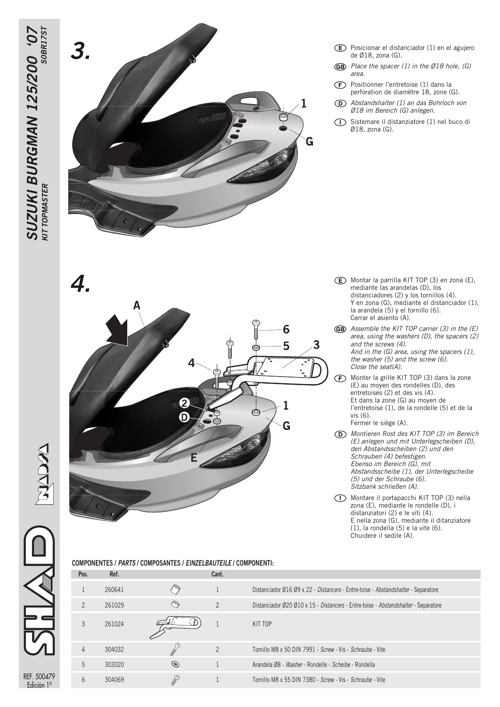REF. 500479<br>Edición 1ª



- Posicionar el distanciador (1) en el agujero de Ø18, zona (G).
- **GB** Place the spacer (1) in the Ø18 hole, (G) area.
- $(F)$ Positionner l'entretoise (1) dans la perforation de diamètre 18, zone (G).
- $\circledcirc$ Abstandshalter (1) an das Bohrloch von Ø18 im Bereich (G) anlegen.
- Sistemare il distanziatore (1) nel buco di  $\bigcirc$ Ø18, zona (G).

- **4.** Montar la parrilla KIT TOP (3) en zona (E), mediante las arandelas (D), los mediante las arandelas (D), los distanciadores (2) y los tornillos (4). Y en zona (G), mediante el distanciador (1), la arandela (5) y el tornillo (6). Cerrar el asiento (A).
	- GB Assemble the KIT TOP carrier (3) in the (E) area, using the washers (D), the spacers (2) and the screws (4). And in the (G) area, using the spacers (1), the washer (5) and the screw (6). Close the seat(A).
	- Monter la grille KIT TOP (3) dans la zone ← (E) au moyen des rondelles (D), des entretoises (2) et des vis (4). Et dans la zone (G) au moyen de l'entretoise (1), de la rondelle (5) et de la vis (6). Fermer le siège (A).
	- Montieren Rost des KIT TOP (3) im Bereich (E) anlegen und mit Unterlegscheiben (D), den Abstandsscheiben (2) und den Schrauben (4) befestigen. Ebenso im Bereich (G), mit Abstandsscheibe (1), der Unterlegscheibe (5) und der Schraube (6). Sitzbank schließen (A).
	- Montare il portapacchi KIT TOP (3) nella zona (E), mediante le rondelle (D), i distanziatori (2) e le viti (4). E nella zona (G), mediante il ditanziatore (1), la rondella (5) e la vite (6). Chuidere il sedile (A).

|  | COMPONENTES / <i>PARTS</i> / COMPOSANTES / <i>EINZELBAUTEILE</i> / COMPONENTI: |  |
|--|--------------------------------------------------------------------------------|--|
|  |                                                                                |  |

 $\overline{2}$ 

 $\mathbf 0$ 

| Pos.           | Ket.   |   | Cant.          |                                                                                    |
|----------------|--------|---|----------------|------------------------------------------------------------------------------------|
|                | 260641 |   |                | Distanciador Ø16 Ø9 x 22 - Distancers - Entre-toise - Abstandshalter - Separatore  |
| $\mathcal{P}$  | 261029 |   | $\overline{2}$ | Distanciador Ø20 Ø10 x 15 - Distancers - Entre-toise - Abstandshalter - Separatore |
| 3              | 261024 |   |                | KIT TOP                                                                            |
| 4              | 304032 |   | $\overline{2}$ | Tornillo M8 x 50 DIN 7991 - Screw - Vis - Schraube - Vite                          |
| $\overline{5}$ | 303020 | ◉ |                | Arandela Ø8 - Washer - Rondelle - Scheibe - Rondella                               |
| 6              | 304069 | o |                | Tornillo M8 x 55 DIN 7380 - Screw - Vis - Schraube - Vite                          |
|                |        |   |                |                                                                                    |

6 5

1

G

া€